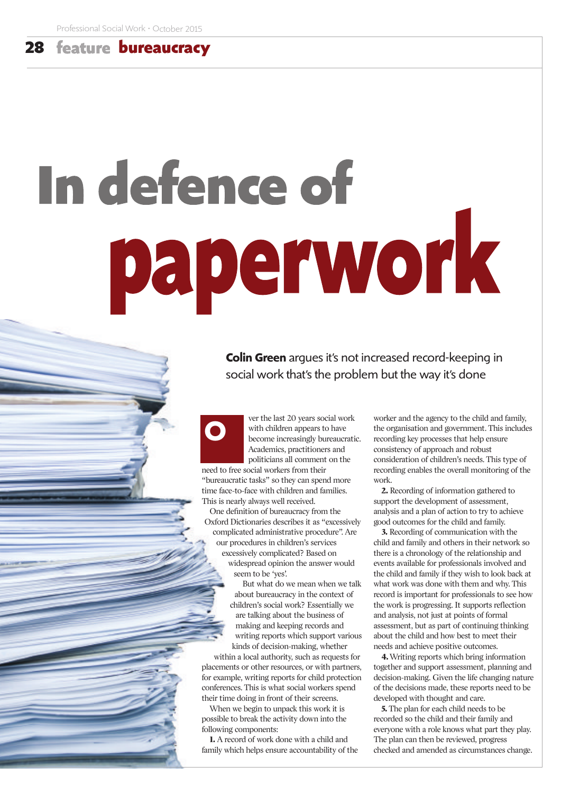## **28 bureaucracy**

## In defence of paperwork

**Colin Green** argues it's not increased record-keeping in social work that's the problem but the way it's done

ver the last 20 years social work with children appears to have become increasingly bureaucratic. Academics, practitioners and politicians all comment on the

need to free social workers from their "bureaucratic tasks" so they can spend more time face-to-face with children and families. This is nearly always well received.

**O**

One definition of bureaucracy from the Oxford Dictionaries describes it as "excessively complicated administrative procedure". Are our procedures in children's services excessively complicated? Based on widespread opinion the answer would seem to be 'yes'.

But what do we mean when we talk about bureaucracy in the context of children's social work? Essentially we are talking about the business of making and keeping records and writing reports which support various kinds of decision-making, whether within a local authority, such as requests for

placements or other resources, or with partners, for example, writing reports for child protection conferences. This is what social workers spend their time doing in front of their screens.

When we begin to unpack this work it is possible to break the activity down into the following components:

**1.** A record of work done with a child and family which helps ensure accountability of the worker and the agency to the child and family, the organisation and government. This includes recording key processes that help ensure consistency of approach and robust consideration of children's needs. This type of recording enables the overall monitoring of the work.

**2.** Recording of information gathered to support the development of assessment, analysis and a plan of action to try to achieve good outcomes for the child and family.

**3.** Recording of communication with the child and family and others in their network so there is a chronology of the relationship and events available for professionals involved and the child and family if they wish to look back at what work was done with them and why. This record is important for professionals to see how the work is progressing. It supports reflection and analysis, not just at points of formal assessment, but as part of continuing thinking about the child and how best to meet their needs and achieve positive outcomes.

**4.**Writing reports which bring information together and support assessment, planning and decision-making. Given the life changing nature of the decisions made, these reports need to be developed with thought and care.

**5.**The plan for each child needs to be recorded so the child and their family and everyone with a role knows what part they play. The plan can then be reviewed, progress checked and amended as circumstances change.